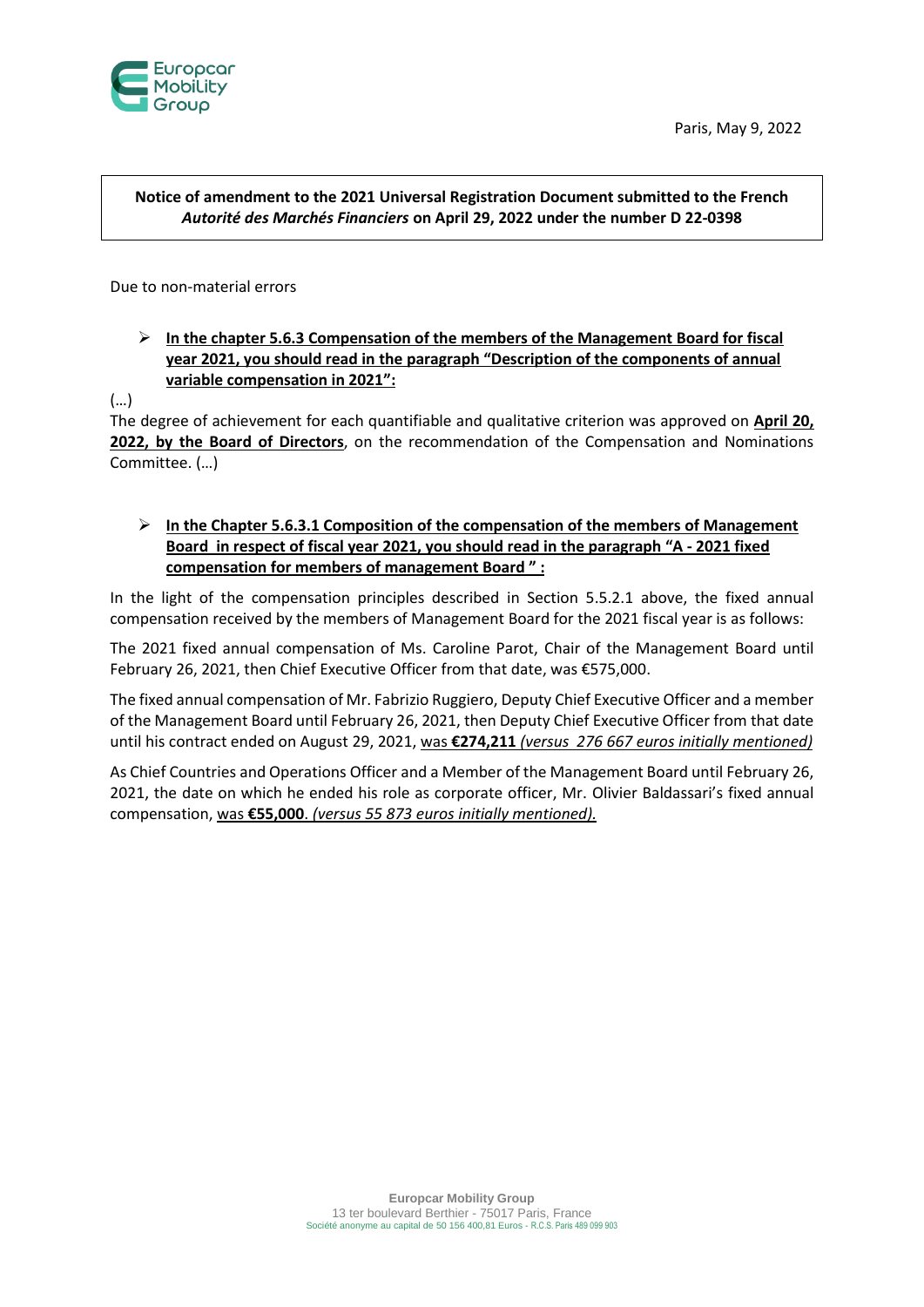



## **Notice of amendment to the 2021 Universal Registration Document submitted to the French**  *Autorité des Marchés Financiers* **on April 29, 2022 under the number D 22-0398**

Due to non-material errors

## **In the chapter 5.6.3 Compensation of the members of the Management Board for fiscal year 2021, you should read in the paragraph "Description of the components of annual variable compensation in 2021":**

(…)

The degree of achievement for each quantifiable and qualitative criterion was approved on **April 20, 2022, by the Board of Directors**, on the recommendation of the Compensation and Nominations Committee. (…)

## **In the Chapter 5.6.3.1 Composition of the compensation of the members of Management Board in respect of fiscal year 2021, you should read in the paragraph "A - 2021 fixed compensation for members of management Board " :**

In the light of the compensation principles described in Section 5.5.2.1 above, the fixed annual compensation received by the members of Management Board for the 2021 fiscal year is as follows:

The 2021 fixed annual compensation of Ms. Caroline Parot, Chair of the Management Board until February 26, 2021, then Chief Executive Officer from that date, was €575,000.

The fixed annual compensation of Mr. Fabrizio Ruggiero, Deputy Chief Executive Officer and a member of the Management Board until February 26, 2021, then Deputy Chief Executive Officer from that date until his contract ended on August 29, 2021, was **€274,211** *(versus 276 667 euros initially mentioned)*

As Chief Countries and Operations Officer and a Member of the Management Board until February 26, 2021, the date on which he ended his role as corporate officer, Mr. Olivier Baldassari's fixed annual compensation, was **€55,000**. *(versus 55 873 euros initially mentioned).*